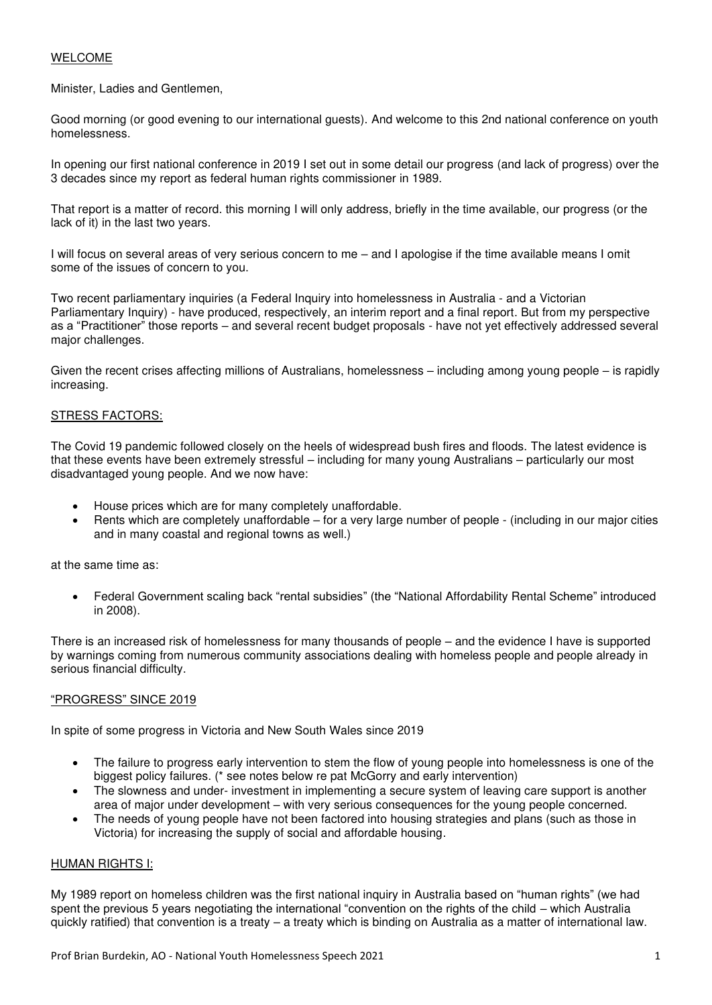# WELCOME

Minister, Ladies and Gentlemen,

Good morning (or good evening to our international guests). And welcome to this 2nd national conference on youth homelessness.

In opening our first national conference in 2019 I set out in some detail our progress (and lack of progress) over the 3 decades since my report as federal human rights commissioner in 1989.

That report is a matter of record. this morning I will only address, briefly in the time available, our progress (or the lack of it) in the last two years.

I will focus on several areas of very serious concern to me – and I apologise if the time available means I omit some of the issues of concern to you.

Two recent parliamentary inquiries (a Federal Inquiry into homelessness in Australia - and a Victorian Parliamentary Inquiry) - have produced, respectively, an interim report and a final report. But from my perspective as a "Practitioner" those reports – and several recent budget proposals - have not yet effectively addressed several major challenges.

Given the recent crises affecting millions of Australians, homelessness – including among young people – is rapidly increasing.

# STRESS FACTORS:

The Covid 19 pandemic followed closely on the heels of widespread bush fires and floods. The latest evidence is that these events have been extremely stressful – including for many young Australians – particularly our most disadvantaged young people. And we now have:

- House prices which are for many completely unaffordable.
- Rents which are completely unaffordable for a very large number of people (including in our major cities and in many coastal and regional towns as well.)

at the same time as:

• Federal Government scaling back "rental subsidies" (the "National Affordability Rental Scheme" introduced in 2008).

There is an increased risk of homelessness for many thousands of people – and the evidence I have is supported by warnings coming from numerous community associations dealing with homeless people and people already in serious financial difficulty.

### "PROGRESS" SINCE 2019

In spite of some progress in Victoria and New South Wales since 2019

- The failure to progress early intervention to stem the flow of young people into homelessness is one of the biggest policy failures. (\* see notes below re pat McGorry and early intervention)
- The slowness and under- investment in implementing a secure system of leaving care support is another area of major under development – with very serious consequences for the young people concerned.
- The needs of young people have not been factored into housing strategies and plans (such as those in Victoria) for increasing the supply of social and affordable housing.

# HUMAN RIGHTS I:

My 1989 report on homeless children was the first national inquiry in Australia based on "human rights" (we had spent the previous 5 years negotiating the international "convention on the rights of the child – which Australia quickly ratified) that convention is a treaty – a treaty which is binding on Australia as a matter of international law.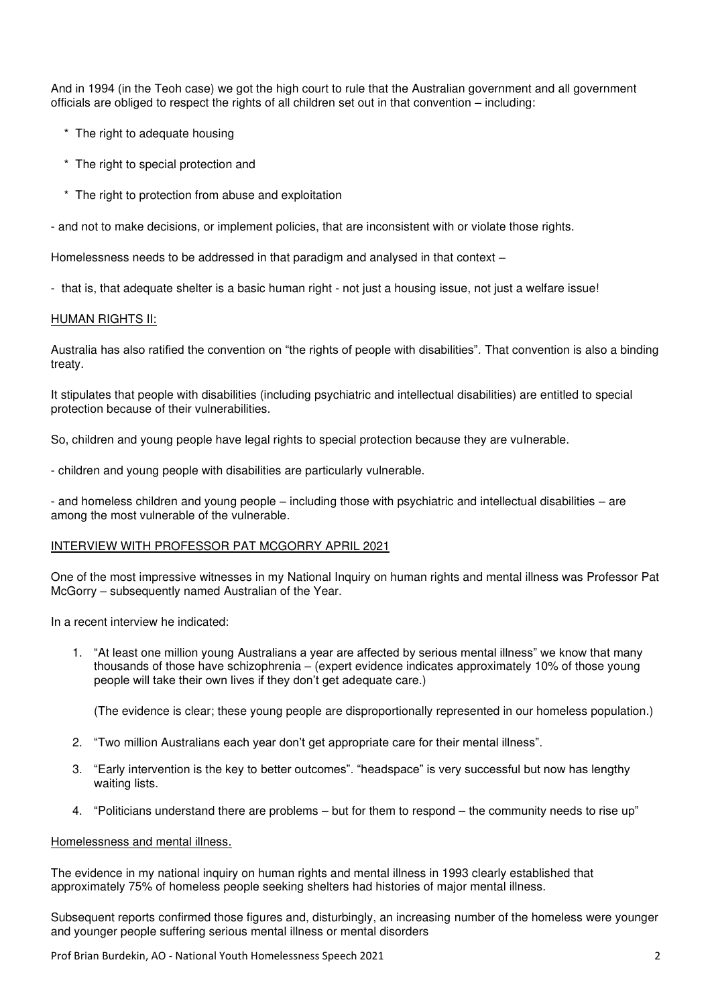And in 1994 (in the Teoh case) we got the high court to rule that the Australian government and all government officials are obliged to respect the rights of all children set out in that convention – including:

- \* The right to adequate housing
- \* The right to special protection and
- \* The right to protection from abuse and exploitation

- and not to make decisions, or implement policies, that are inconsistent with or violate those rights.

Homelessness needs to be addressed in that paradigm and analysed in that context –

- that is, that adequate shelter is a basic human right - not just a housing issue, not just a welfare issue!

### HUMAN RIGHTS II:

Australia has also ratified the convention on "the rights of people with disabilities". That convention is also a binding treaty.

It stipulates that people with disabilities (including psychiatric and intellectual disabilities) are entitled to special protection because of their vulnerabilities.

So, children and young people have legal rights to special protection because they are vulnerable.

- children and young people with disabilities are particularly vulnerable.

- and homeless children and young people – including those with psychiatric and intellectual disabilities – are among the most vulnerable of the vulnerable.

### INTERVIEW WITH PROFESSOR PAT MCGORRY APRIL 2021

One of the most impressive witnesses in my National Inquiry on human rights and mental illness was Professor Pat McGorry – subsequently named Australian of the Year.

In a recent interview he indicated:

1. "At least one million young Australians a year are affected by serious mental illness" we know that many thousands of those have schizophrenia – (expert evidence indicates approximately 10% of those young people will take their own lives if they don't get adequate care.)

(The evidence is clear; these young people are disproportionally represented in our homeless population.)

- 2. "Two million Australians each year don't get appropriate care for their mental illness".
- 3. "Early intervention is the key to better outcomes". "headspace" is very successful but now has lengthy waiting lists.
- 4. "Politicians understand there are problems but for them to respond the community needs to rise up"

### Homelessness and mental illness.

The evidence in my national inquiry on human rights and mental illness in 1993 clearly established that approximately 75% of homeless people seeking shelters had histories of major mental illness.

Subsequent reports confirmed those figures and, disturbingly, an increasing number of the homeless were younger and younger people suffering serious mental illness or mental disorders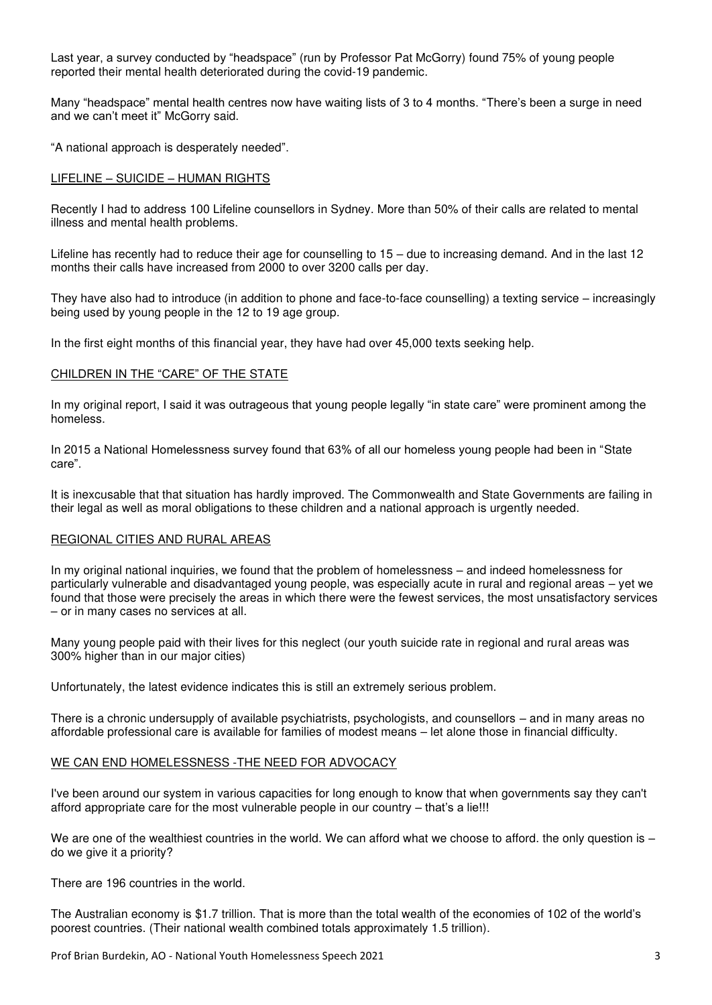Last year, a survey conducted by "headspace" (run by Professor Pat McGorry) found 75% of young people reported their mental health deteriorated during the covid-19 pandemic.

Many "headspace" mental health centres now have waiting lists of 3 to 4 months. "There's been a surge in need and we can't meet it" McGorry said.

"A national approach is desperately needed".

# LIFELINE – SUICIDE – HUMAN RIGHTS

Recently I had to address 100 Lifeline counsellors in Sydney. More than 50% of their calls are related to mental illness and mental health problems.

Lifeline has recently had to reduce their age for counselling to 15 – due to increasing demand. And in the last 12 months their calls have increased from 2000 to over 3200 calls per day.

They have also had to introduce (in addition to phone and face-to-face counselling) a texting service – increasingly being used by young people in the 12 to 19 age group.

In the first eight months of this financial year, they have had over 45,000 texts seeking help.

### CHILDREN IN THE "CARE" OF THE STATE

In my original report, I said it was outrageous that young people legally "in state care" were prominent among the homeless.

In 2015 a National Homelessness survey found that 63% of all our homeless young people had been in "State care".

It is inexcusable that that situation has hardly improved. The Commonwealth and State Governments are failing in their legal as well as moral obligations to these children and a national approach is urgently needed.

#### REGIONAL CITIES AND RURAL AREAS

In my original national inquiries, we found that the problem of homelessness – and indeed homelessness for particularly vulnerable and disadvantaged young people, was especially acute in rural and regional areas – yet we found that those were precisely the areas in which there were the fewest services, the most unsatisfactory services – or in many cases no services at all.

Many young people paid with their lives for this neglect (our youth suicide rate in regional and rural areas was 300% higher than in our major cities)

Unfortunately, the latest evidence indicates this is still an extremely serious problem.

There is a chronic undersupply of available psychiatrists, psychologists, and counsellors – and in many areas no affordable professional care is available for families of modest means – let alone those in financial difficulty.

#### WE CAN END HOMELESSNESS -THE NEED FOR ADVOCACY

I've been around our system in various capacities for long enough to know that when governments say they can't afford appropriate care for the most vulnerable people in our country – that's a lie!!!

We are one of the wealthiest countries in the world. We can afford what we choose to afford. the only question is – do we give it a priority?

There are 196 countries in the world.

The Australian economy is \$1.7 trillion. That is more than the total wealth of the economies of 102 of the world's poorest countries. (Their national wealth combined totals approximately 1.5 trillion).